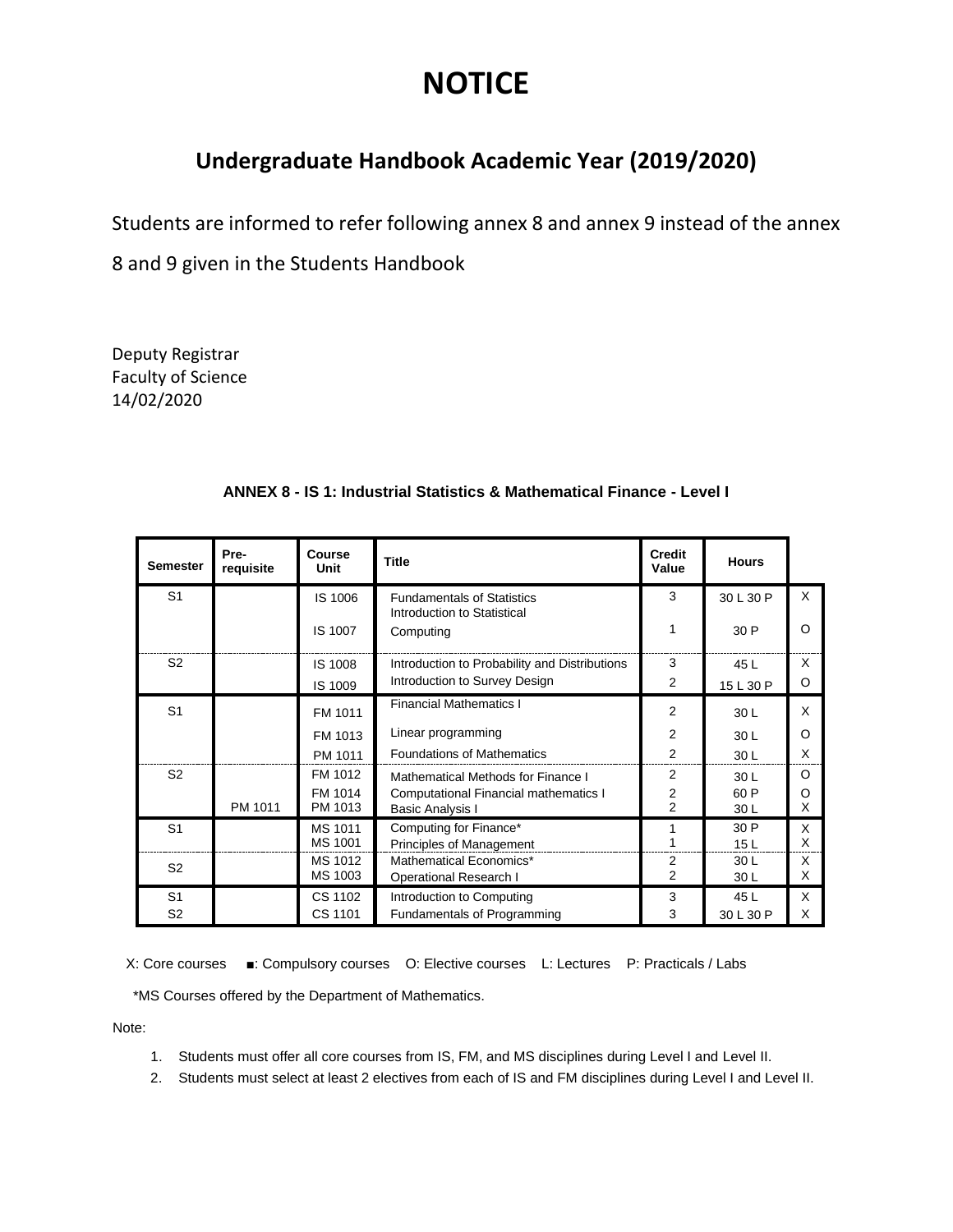## **NOTICE**

## **Undergraduate Handbook Academic Year (2019/2020)**

Students are informed to refer following annex 8 and annex 9 instead of the annex

8 and 9 given in the Students Handbook

Deputy Registrar Faculty of Science 14/02/2020

| <b>Semester</b> | Pre-<br>requisite | Course<br>Unit     | <b>Title</b>                                        | <b>Credit</b><br>Value | <b>Hours</b>    |          |
|-----------------|-------------------|--------------------|-----------------------------------------------------|------------------------|-----------------|----------|
| S <sub>1</sub>  |                   | IS 1006            | <b>Fundamentals of Statistics</b>                   | 3                      | 30 L 30 P       | X        |
|                 |                   | IS 1007            | Introduction to Statistical<br>Computing            | 1                      | 30 P            | Ω        |
| S <sub>2</sub>  |                   | IS 1008            | Introduction to Probability and Distributions       | 3                      | 45 L            | X        |
|                 |                   | IS 1009            | Introduction to Survey Design                       | 2                      | 15 L 30 P       | O        |
| S <sub>1</sub>  |                   | FM 1011            | <b>Financial Mathematics I</b>                      | 2                      | 30 L            | $\times$ |
|                 |                   | FM 1013            | Linear programming                                  | 2                      | 30L             | $\Omega$ |
|                 |                   | PM 1011            | <b>Foundations of Mathematics</b>                   | $\overline{2}$         | 30 L            | X        |
| S <sub>2</sub>  |                   | FM 1012            | Mathematical Methods for Finance I                  | 2                      | 30 <sub>L</sub> | $\Omega$ |
|                 |                   | FM 1014            | Computational Financial mathematics I               | 2                      | 60 P            | Ω        |
|                 | PM 1011           | PM 1013            | <b>Basic Analysis I</b>                             | $\overline{2}$         | 30L             | X        |
| S <sub>1</sub>  |                   | MS 1011<br>MS 1001 | Computing for Finance*                              |                        | 30 P            | X<br>X   |
|                 |                   | MS 1012            | Principles of Management<br>Mathematical Economics* | $\overline{2}$         | 15L<br>30L      | X        |
| S <sub>2</sub>  |                   | MS 1003            | <b>Operational Research I</b>                       | 2                      | 30L             | X        |
| S <sub>1</sub>  |                   | CS 1102            | Introduction to Computing                           | 3                      | 45 L            | X        |
| S <sub>2</sub>  |                   | CS 1101            | <b>Fundamentals of Programming</b>                  | 3                      | 30 L 30 P       | X        |

## **ANNEX 8 - IS 1: Industrial Statistics & Mathematical Finance - Level I**

X: Core courses ■: Compulsory courses O: Elective courses L: Lectures P: Practicals / Labs

\*MS Courses offered by the Department of Mathematics.

Note:

- 1. Students must offer all core courses from IS, FM, and MS disciplines during Level I and Level II.
- 2. Students must select at least 2 electives from each of IS and FM disciplines during Level I and Level II.